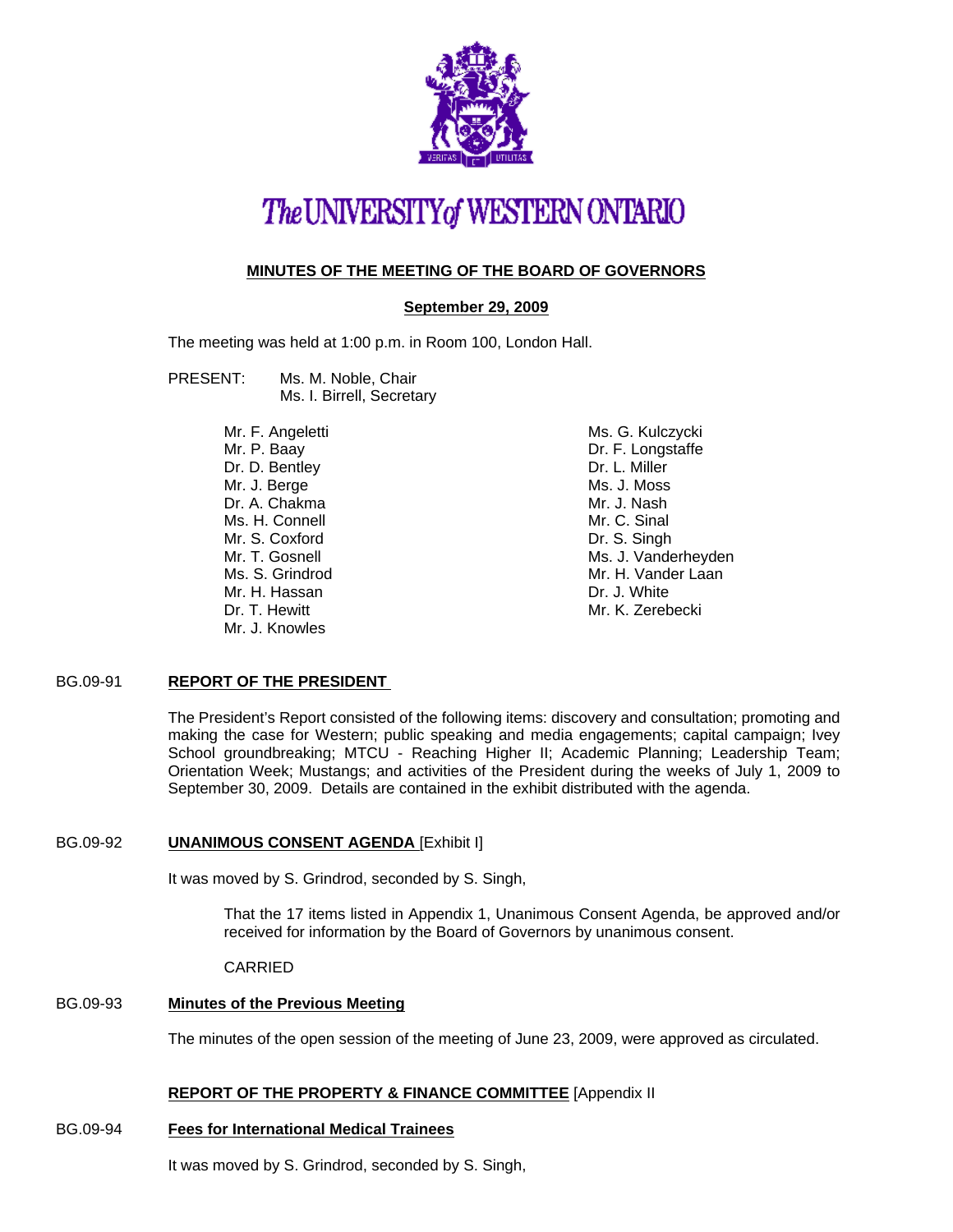

# The UNIVERSITY of WESTERN ONTARIO

# **MINUTES OF THE MEETING OF THE BOARD OF GOVERNORS**

# **September 29, 2009**

The meeting was held at 1:00 p.m. in Room 100, London Hall.

#### PRESENT: Ms. M. Noble, Chair Ms. I. Birrell, Secretary

Mr. F. Angeletti Mr. P. Baay Dr. D. Bentley Mr. J. Berge Dr. A. Chakma Ms. H. Connell Mr. S. Coxford Mr. T. Gosnell Ms. S. Grindrod Mr. H. Hassan Dr. T. Hewitt Mr. J. Knowles

Ms. G. Kulczycki Dr. F. Longstaffe Dr. L. Miller Ms. J. Moss Mr. J. Nash Mr. C. Sinal Dr. S. Singh Ms. J. Vanderheyden Mr. H. Vander Laan Dr. J. White Mr. K. Zerebecki

# BG.09-91 **REPORT OF THE PRESIDENT**

The President's Report consisted of the following items: discovery and consultation; promoting and making the case for Western; public speaking and media engagements; capital campaign; Ivey School groundbreaking; MTCU - Reaching Higher II; Academic Planning; Leadership Team; Orientation Week; Mustangs; and activities of the President during the weeks of July 1, 2009 to September 30, 2009. Details are contained in the exhibit distributed with the agenda.

# BG.09-92 **UNANIMOUS CONSENT AGENDA** [Exhibit I]

It was moved by S. Grindrod, seconded by S. Singh,

That the 17 items listed in Appendix 1, Unanimous Consent Agenda, be approved and/or received for information by the Board of Governors by unanimous consent.

# CARRIED

# BG.09-93 **Minutes of the Previous Meeting**

The minutes of the open session of the meeting of June 23, 2009, were approved as circulated.

# **REPORT OF THE PROPERTY & FINANCE COMMITTEE** [Appendix II

# BG.09-94 **Fees for International Medical Trainees**

It was moved by S. Grindrod, seconded by S. Singh,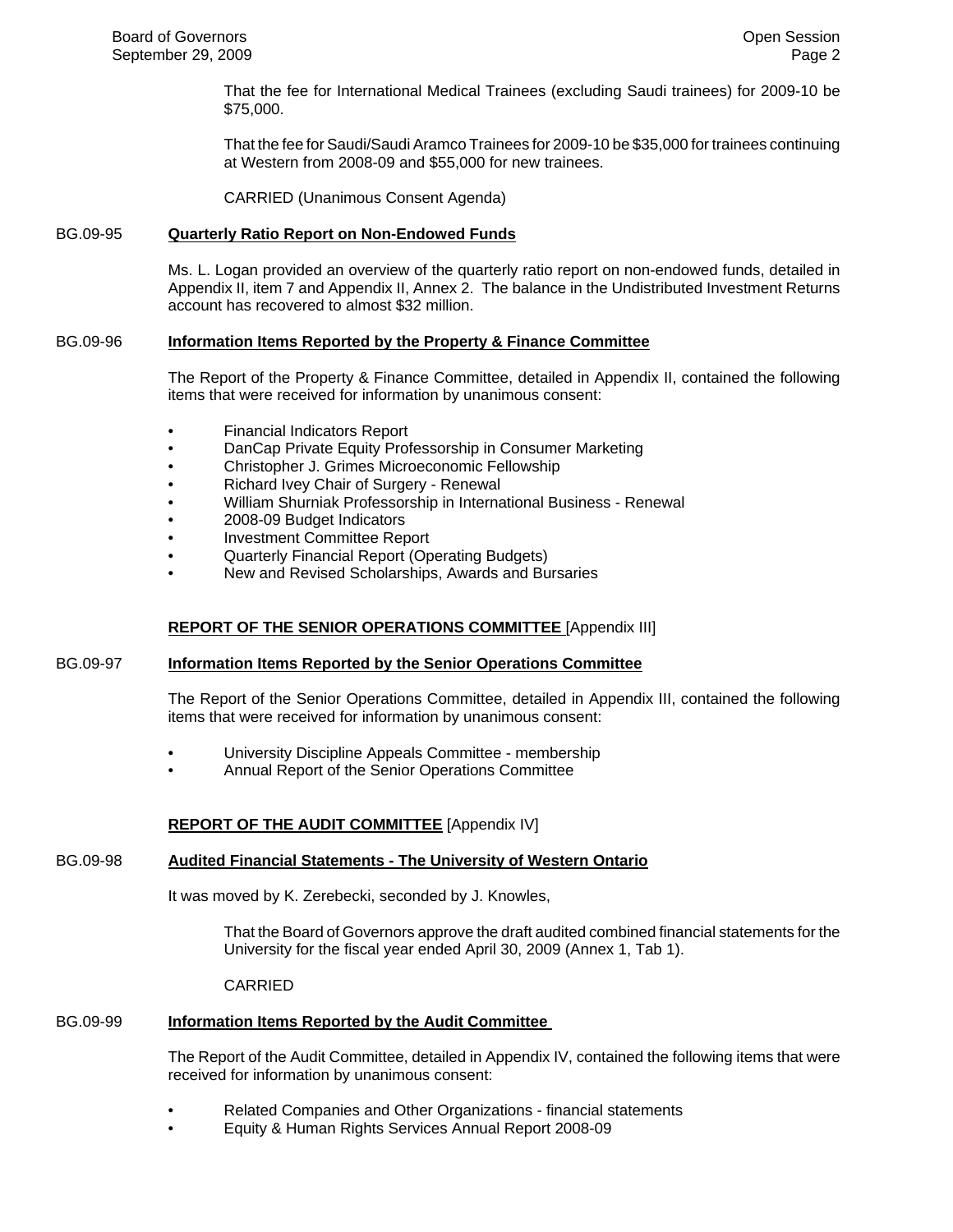That the fee for International Medical Trainees (excluding Saudi trainees) for 2009-10 be \$75,000.

That the fee for Saudi/Saudi Aramco Trainees for 2009-10 be \$35,000 for trainees continuing at Western from 2008-09 and \$55,000 for new trainees.

CARRIED (Unanimous Consent Agenda)

# BG.09-95 **Quarterly Ratio Report on Non-Endowed Funds**

Ms. L. Logan provided an overview of the quarterly ratio report on non-endowed funds, detailed in Appendix II, item 7 and Appendix II, Annex 2. The balance in the Undistributed Investment Returns account has recovered to almost \$32 million.

### BG.09-96 **Information Items Reported by the Property & Finance Committee**

The Report of the Property & Finance Committee, detailed in Appendix II, contained the following items that were received for information by unanimous consent:

- Financial Indicators Report
- DanCap Private Equity Professorship in Consumer Marketing
- Christopher J. Grimes Microeconomic Fellowship
- Richard Ivey Chair of Surgery Renewal
- William Shurniak Professorship in International Business Renewal
- 2008-09 Budget Indicators
- Investment Committee Report
- Quarterly Financial Report (Operating Budgets)
- New and Revised Scholarships, Awards and Bursaries

# **REPORT OF THE SENIOR OPERATIONS COMMITTEE** [Appendix III]

#### BG.09-97 **Information Items Reported by the Senior Operations Committee**

The Report of the Senior Operations Committee, detailed in Appendix III, contained the following items that were received for information by unanimous consent:

- University Discipline Appeals Committee membership
- Annual Report of the Senior Operations Committee

#### **REPORT OF THE AUDIT COMMITTEE** [Appendix IV]

#### BG.09-98 **Audited Financial Statements - The University of Western Ontario**

It was moved by K. Zerebecki, seconded by J. Knowles,

That the Board of Governors approve the draft audited combined financial statements for the University for the fiscal year ended April 30, 2009 (Annex 1, Tab 1).

#### CARRIED

#### BG.09-99 **Information Items Reported by the Audit Committee**

The Report of the Audit Committee, detailed in Appendix IV, contained the following items that were received for information by unanimous consent:

- Related Companies and Other Organizations financial statements
- Equity & Human Rights Services Annual Report 2008-09